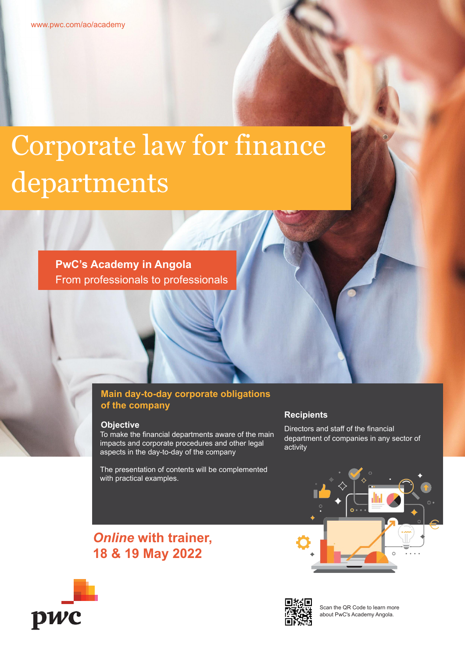# Corporate law for finance departments

**PwC's Academy in Angola** From professionals to professionals

### **Main day-to-day corporate obligations of the company**

#### **Objective**

To make the financial departments aware of the main impacts and corporate procedures and other legal aspects in the day-to-day of the company

The presentation of contents will be complemented with practical examples.

#### **Recipients**

Directors and staff of the financial department of companies in any sector of activity









Scan the QR Code to learn more about PwC's Academy Angola.